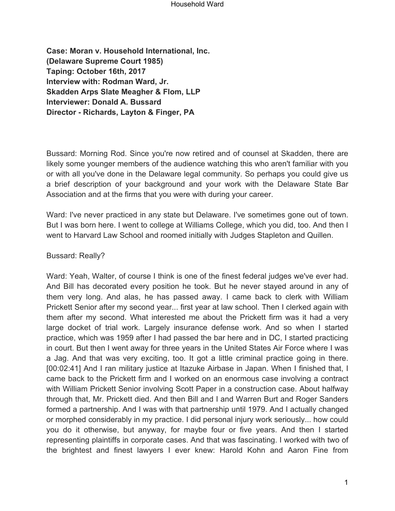**Case: Moran v. Household International, Inc. (Delaware Supreme Court 1985) Taping: October 16th, 2017 Interview with: Rodman Ward, Jr. Skadden Arps Slate Meagher & Flom, LLP Interviewer: Donald A. Bussard Director - Richards, Layton & Finger, PA**

Bussard: Morning Rod. Since you're now retired and of counsel at Skadden, there are likely some younger members of the audience watching this who aren't familiar with you or with all you've done in the Delaware legal community. So perhaps you could give us a brief description of your background and your work with the Delaware State Bar Association and at the firms that you were with during your career.

Ward: I've never practiced in any state but Delaware. I've sometimes gone out of town. But I was born here. I went to college at Williams College, which you did, too. And then I went to Harvard Law School and roomed initially with Judges Stapleton and Quillen.

Bussard: Really?

Ward: Yeah, Walter, of course I think is one of the finest federal judges we've ever had. And Bill has decorated every position he took. But he never stayed around in any of them very long. And alas, he has passed away. I came back to clerk with William Prickett Senior after my second year... first year at law school. Then I clerked again with them after my second. What interested me about the Prickett firm was it had a very large docket of trial work. Largely insurance defense work. And so when I started practice, which was 1959 after I had passed the bar here and in DC, I started practicing in court. But then I went away for three years in the United States Air Force where I was a Jag. And that was very exciting, too. It got a little criminal practice going in there. [00:02:41] And I ran military justice at Itazuke Airbase in Japan. When I finished that, I came back to the Prickett firm and I worked on an enormous case involving a contract with William Prickett Senior involving Scott Paper in a construction case. About halfway through that, Mr. Prickett died. And then Bill and I and Warren Burt and Roger Sanders formed a partnership. And I was with that partnership until 1979. And I actually changed or morphed considerably in my practice. I did personal injury work seriously... how could you do it otherwise, but anyway, for maybe four or five years. And then I started representing plaintiffs in corporate cases. And that was fascinating. I worked with two of the brightest and finest lawyers I ever knew: Harold Kohn and Aaron Fine from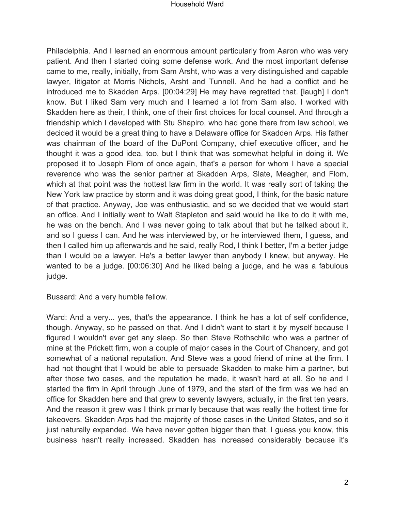Philadelphia. And I learned an enormous amount particularly from Aaron who was very patient. And then I started doing some defense work. And the most important defense came to me, really, initially, from Sam Arsht, who was a very distinguished and capable lawyer, litigator at Morris Nichols, Arsht and Tunnell. And he had a conflict and he introduced me to Skadden Arps. [00:04:29] He may have regretted that. [laugh] I don't know. But I liked Sam very much and I learned a lot from Sam also. I worked with Skadden here as their, I think, one of their first choices for local counsel. And through a friendship which I developed with Stu Shapiro, who had gone there from law school, we decided it would be a great thing to have a Delaware office for Skadden Arps. His father was chairman of the board of the DuPont Company, chief executive officer, and he thought it was a good idea, too, but I think that was somewhat helpful in doing it. We proposed it to Joseph Flom of once again, that's a person for whom I have a special reverence who was the senior partner at Skadden Arps, Slate, Meagher, and Flom, which at that point was the hottest law firm in the world. It was really sort of taking the New York law practice by storm and it was doing great good, I think, for the basic nature of that practice. Anyway, Joe was enthusiastic, and so we decided that we would start an office. And I initially went to Walt Stapleton and said would he like to do it with me, he was on the bench. And I was never going to talk about that but he talked about it, and so I guess I can. And he was interviewed by, or he interviewed them, I guess, and then I called him up afterwards and he said, really Rod, I think I better, I'm a better judge than I would be a lawyer. He's a better lawyer than anybody I knew, but anyway. He wanted to be a judge. [00:06:30] And he liked being a judge, and he was a fabulous judge.

Bussard: And a very humble fellow.

Ward: And a very... yes, that's the appearance. I think he has a lot of self confidence, though. Anyway, so he passed on that. And I didn't want to start it by myself because I figured I wouldn't ever get any sleep. So then Steve Rothschild who was a partner of mine at the Prickett firm, won a couple of major cases in the Court of Chancery, and got somewhat of a national reputation. And Steve was a good friend of mine at the firm. I had not thought that I would be able to persuade Skadden to make him a partner, but after those two cases, and the reputation he made, it wasn't hard at all. So he and I started the firm in April through June of 1979, and the start of the firm was we had an office for Skadden here and that grew to seventy lawyers, actually, in the first ten years. And the reason it grew was I think primarily because that was really the hottest time for takeovers. Skadden Arps had the majority of those cases in the United States, and so it just naturally expanded. We have never gotten bigger than that. I guess you know, this business hasn't really increased. Skadden has increased considerably because it's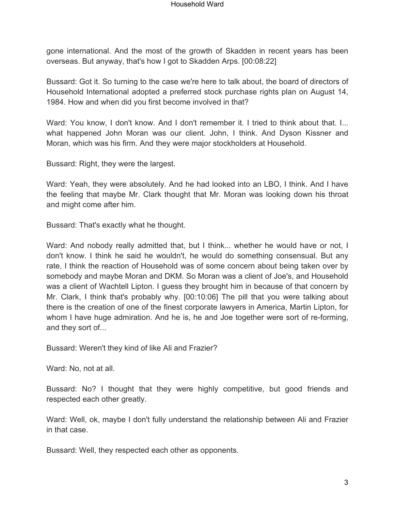gone international. And the most of the growth of Skadden in recent years has been overseas. But anyway, that's how I got to Skadden Arps. [00:08:22]

Bussard: Got it. So turning to the case we're here to talk about, the board of directors of Household International adopted a preferred stock purchase rights plan on August 14, 1984. How and when did you first become involved in that?

Ward: You know, I don't know. And I don't remember it. I tried to think about that. I... what happened John Moran was our client. John, I think. And Dyson Kissner and Moran, which was his firm. And they were major stockholders at Household.

Bussard: Right, they were the largest.

Ward: Yeah, they were absolutely. And he had looked into an LBO, I think. And I have the feeling that maybe Mr. Clark thought that Mr. Moran was looking down his throat and might come after him.

Bussard: That's exactly what he thought.

Ward: And nobody really admitted that, but I think... whether he would have or not, I don't know. I think he said he wouldn't, he would do something consensual. But any rate, I think the reaction of Household was of some concern about being taken over by somebody and maybe Moran and DKM. So Moran was a client of Joe's, and Household was a client of Wachtell Lipton. I guess they brought him in because of that concern by Mr. Clark, I think that's probably why. [00:10:06] The pill that you were talking about there is the creation of one of the finest corporate lawyers in America, Martin Lipton, for whom I have huge admiration. And he is, he and Joe together were sort of re-forming, and they sort of...

Bussard: Weren't they kind of like Ali and Frazier?

Ward: No, not at all.

Bussard: No? I thought that they were highly competitive, but good friends and respected each other greatly.

Ward: Well, ok, maybe I don't fully understand the relationship between Ali and Frazier in that case.

Bussard: Well, they respected each other as opponents.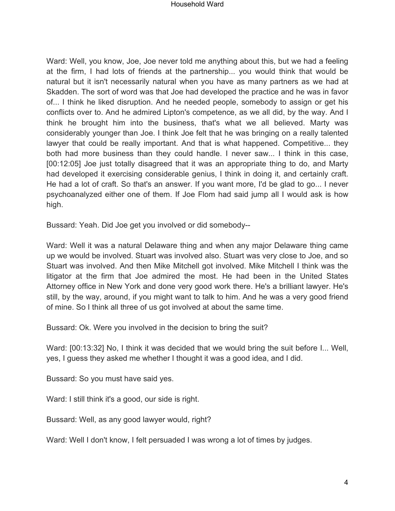Ward: Well, you know, Joe, Joe never told me anything about this, but we had a feeling at the firm, I had lots of friends at the partnership... you would think that would be natural but it isn't necessarily natural when you have as many partners as we had at Skadden. The sort of word was that Joe had developed the practice and he was in favor of... I think he liked disruption. And he needed people, somebody to assign or get his conflicts over to. And he admired Lipton's competence, as we all did, by the way. And I think he brought him into the business, that's what we all believed. Marty was considerably younger than Joe. I think Joe felt that he was bringing on a really talented lawyer that could be really important. And that is what happened. Competitive... they both had more business than they could handle. I never saw... I think in this case, [00:12:05] Joe just totally disagreed that it was an appropriate thing to do, and Marty had developed it exercising considerable genius, I think in doing it, and certainly craft. He had a lot of craft. So that's an answer. If you want more, I'd be glad to go... I never psychoanalyzed either one of them. If Joe Flom had said jump all I would ask is how high.

Bussard: Yeah. Did Joe get you involved or did somebody--

Ward: Well it was a natural Delaware thing and when any major Delaware thing came up we would be involved. Stuart was involved also. Stuart was very close to Joe, and so Stuart was involved. And then Mike Mitchell got involved. Mike Mitchell I think was the litigator at the firm that Joe admired the most. He had been in the United States Attorney office in New York and done very good work there. He's a brilliant lawyer. He's still, by the way, around, if you might want to talk to him. And he was a very good friend of mine. So I think all three of us got involved at about the same time.

Bussard: Ok. Were you involved in the decision to bring the suit?

Ward: [00:13:32] No, I think it was decided that we would bring the suit before I... Well, yes, I guess they asked me whether I thought it was a good idea, and I did.

Bussard: So you must have said yes.

Ward: I still think it's a good, our side is right.

Bussard: Well, as any good lawyer would, right?

Ward: Well I don't know, I felt persuaded I was wrong a lot of times by judges.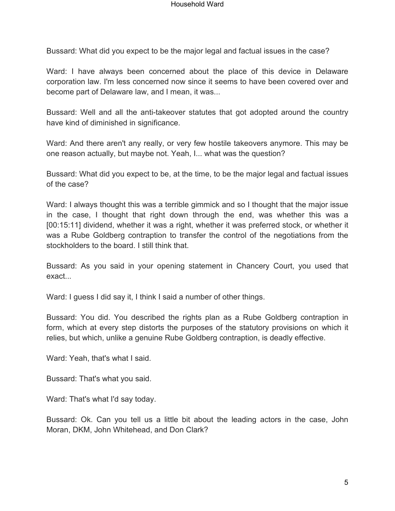Bussard: What did you expect to be the major legal and factual issues in the case?

Ward: I have always been concerned about the place of this device in Delaware corporation law. I'm less concerned now since it seems to have been covered over and become part of Delaware law, and I mean, it was...

Bussard: Well and all the anti-takeover statutes that got adopted around the country have kind of diminished in significance.

Ward: And there aren't any really, or very few hostile takeovers anymore. This may be one reason actually, but maybe not. Yeah, I... what was the question?

Bussard: What did you expect to be, at the time, to be the major legal and factual issues of the case?

Ward: I always thought this was a terrible gimmick and so I thought that the major issue in the case, I thought that right down through the end, was whether this was a [00:15:11] dividend, whether it was a right, whether it was preferred stock, or whether it was a Rube Goldberg contraption to transfer the control of the negotiations from the stockholders to the board. I still think that.

Bussard: As you said in your opening statement in Chancery Court, you used that exact

Ward: I guess I did say it, I think I said a number of other things.

Bussard: You did. You described the rights plan as a Rube Goldberg contraption in form, which at every step distorts the purposes of the statutory provisions on which it relies, but which, unlike a genuine Rube Goldberg contraption, is deadly effective.

Ward: Yeah, that's what I said.

Bussard: That's what you said.

Ward: That's what I'd say today.

Bussard: Ok. Can you tell us a little bit about the leading actors in the case, John Moran, DKM, John Whitehead, and Don Clark?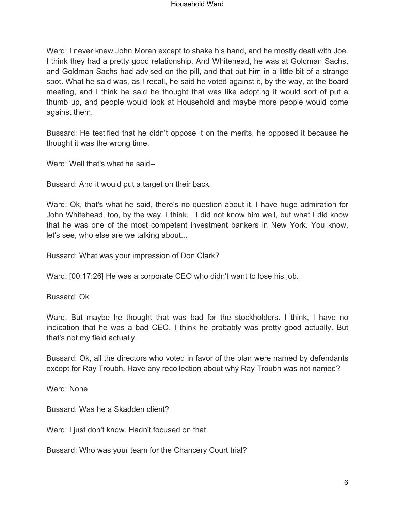Ward: I never knew John Moran except to shake his hand, and he mostly dealt with Joe. I think they had a pretty good relationship. And Whitehead, he was at Goldman Sachs, and Goldman Sachs had advised on the pill, and that put him in a little bit of a strange spot. What he said was, as I recall, he said he voted against it, by the way, at the board meeting, and I think he said he thought that was like adopting it would sort of put a thumb up, and people would look at Household and maybe more people would come against them.

Bussard: He testified that he didn't oppose it on the merits, he opposed it because he thought it was the wrong time.

Ward: Well that's what he said--

Bussard: And it would put a target on their back.

Ward: Ok, that's what he said, there's no question about it. I have huge admiration for John Whitehead, too, by the way. I think... I did not know him well, but what I did know that he was one of the most competent investment bankers in New York. You know, let's see, who else are we talking about...

Bussard: What was your impression of Don Clark?

Ward: [00:17:26] He was a corporate CEO who didn't want to lose his job.

Bussard: Ok

Ward: But maybe he thought that was bad for the stockholders. I think, I have no indication that he was a bad CEO. I think he probably was pretty good actually. But that's not my field actually.

Bussard: Ok, all the directors who voted in favor of the plan were named by defendants except for Ray Troubh. Have any recollection about why Ray Troubh was not named?

Ward: None

Bussard: Was he a Skadden client?

Ward: I just don't know. Hadn't focused on that.

Bussard: Who was your team for the Chancery Court trial?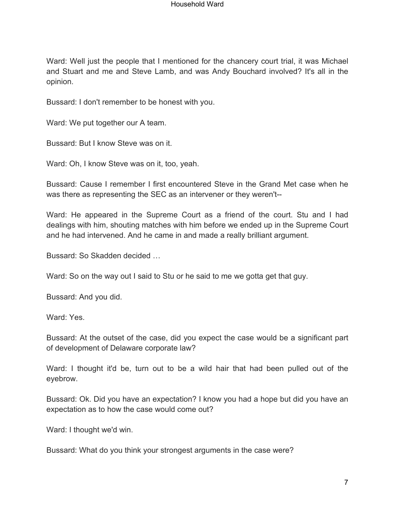Ward: Well just the people that I mentioned for the chancery court trial, it was Michael and Stuart and me and Steve Lamb, and was Andy Bouchard involved? It's all in the opinion.

Bussard: I don't remember to be honest with you.

Ward: We put together our A team.

Bussard: But I know Steve was on it.

Ward: Oh, I know Steve was on it, too, yeah.

Bussard: Cause I remember I first encountered Steve in the Grand Met case when he was there as representing the SEC as an intervener or they weren't--

Ward: He appeared in the Supreme Court as a friend of the court. Stu and I had dealings with him, shouting matches with him before we ended up in the Supreme Court and he had intervened. And he came in and made a really brilliant argument.

Bussard: So Skadden decided …

Ward: So on the way out I said to Stu or he said to me we gotta get that guy.

Bussard: And you did.

Ward: Yes.

Bussard: At the outset of the case, did you expect the case would be a significant part of development of Delaware corporate law?

Ward: I thought it'd be, turn out to be a wild hair that had been pulled out of the eyebrow.

Bussard: Ok. Did you have an expectation? I know you had a hope but did you have an expectation as to how the case would come out?

Ward: I thought we'd win.

Bussard: What do you think your strongest arguments in the case were?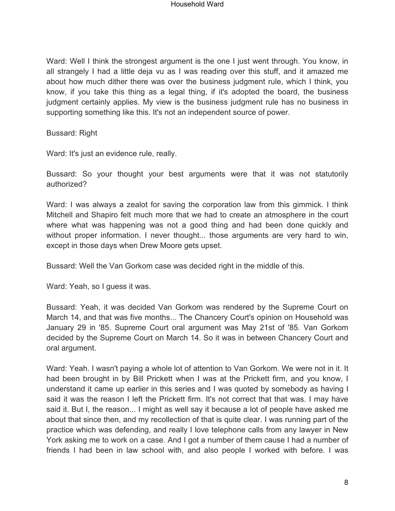Ward: Well I think the strongest argument is the one I just went through. You know, in all strangely I had a little deja vu as I was reading over this stuff, and it amazed me about how much dither there was over the business judgment rule, which I think, you know, if you take this thing as a legal thing, if it's adopted the board, the business judgment certainly applies. My view is the business judgment rule has no business in supporting something like this. It's not an independent source of power.

Bussard: Right

Ward: It's just an evidence rule, really.

Bussard: So your thought your best arguments were that it was not statutorily authorized?

Ward: I was always a zealot for saving the corporation law from this gimmick. I think Mitchell and Shapiro felt much more that we had to create an atmosphere in the court where what was happening was not a good thing and had been done quickly and without proper information. I never thought... those arguments are very hard to win, except in those days when Drew Moore gets upset.

Bussard: Well the Van Gorkom case was decided right in the middle of this.

Ward: Yeah, so I guess it was.

Bussard: Yeah, it was decided Van Gorkom was rendered by the Supreme Court on March 14, and that was five months... The Chancery Court's opinion on Household was January 29 in '85. Supreme Court oral argument was May 21st of '85. Van Gorkom decided by the Supreme Court on March 14. So it was in between Chancery Court and oral argument.

Ward: Yeah. I wasn't paying a whole lot of attention to Van Gorkom. We were not in it. It had been brought in by Bill Prickett when I was at the Prickett firm, and you know, I understand it came up earlier in this series and I was quoted by somebody as having I said it was the reason I left the Prickett firm. It's not correct that that was. I may have said it. But I, the reason... I might as well say it because a lot of people have asked me about that since then, and my recollection of that is quite clear. I was running part of the practice which was defending, and really I love telephone calls from any lawyer in New York asking me to work on a case. And I got a number of them cause I had a number of friends I had been in law school with, and also people I worked with before. I was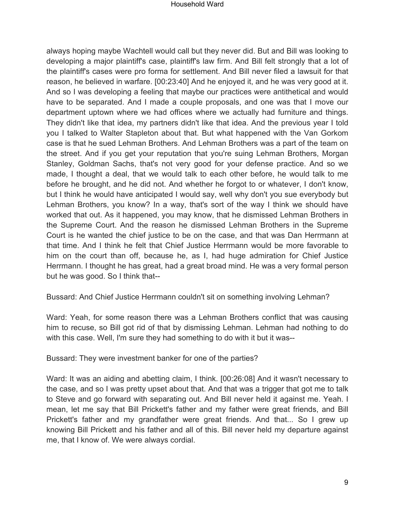always hoping maybe Wachtell would call but they never did. But and Bill was looking to developing a major plaintiff's case, plaintiff's law firm. And Bill felt strongly that a lot of the plaintiff's cases were pro forma for settlement. And Bill never filed a lawsuit for that reason, he believed in warfare. [00:23:40] And he enjoyed it, and he was very good at it. And so I was developing a feeling that maybe our practices were antithetical and would have to be separated. And I made a couple proposals, and one was that I move our department uptown where we had offices where we actually had furniture and things. They didn't like that idea, my partners didn't like that idea. And the previous year I told you I talked to Walter Stapleton about that. But what happened with the Van Gorkom case is that he sued Lehman Brothers. And Lehman Brothers was a part of the team on the street. And if you get your reputation that you're suing Lehman Brothers, Morgan Stanley, Goldman Sachs, that's not very good for your defense practice. And so we made, I thought a deal, that we would talk to each other before, he would talk to me before he brought, and he did not. And whether he forgot to or whatever, I don't know, but I think he would have anticipated I would say, well why don't you sue everybody but Lehman Brothers, you know? In a way, that's sort of the way I think we should have worked that out. As it happened, you may know, that he dismissed Lehman Brothers in the Supreme Court. And the reason he dismissed Lehman Brothers in the Supreme Court is he wanted the chief justice to be on the case, and that was Dan Herrmann at that time. And I think he felt that Chief Justice Herrmann would be more favorable to him on the court than off, because he, as I, had huge admiration for Chief Justice Herrmann. I thought he has great, had a great broad mind. He was a very formal person but he was good. So I think that--

Bussard: And Chief Justice Herrmann couldn't sit on something involving Lehman?

Ward: Yeah, for some reason there was a Lehman Brothers conflict that was causing him to recuse, so Bill got rid of that by dismissing Lehman. Lehman had nothing to do with this case. Well, I'm sure they had something to do with it but it was--

Bussard: They were investment banker for one of the parties?

Ward: It was an aiding and abetting claim, I think. [00:26:08] And it wasn't necessary to the case, and so I was pretty upset about that. And that was a trigger that got me to talk to Steve and go forward with separating out. And Bill never held it against me. Yeah. I mean, let me say that Bill Prickett's father and my father were great friends, and Bill Prickett's father and my grandfather were great friends. And that... So I grew up knowing Bill Prickett and his father and all of this. Bill never held my departure against me, that I know of. We were always cordial.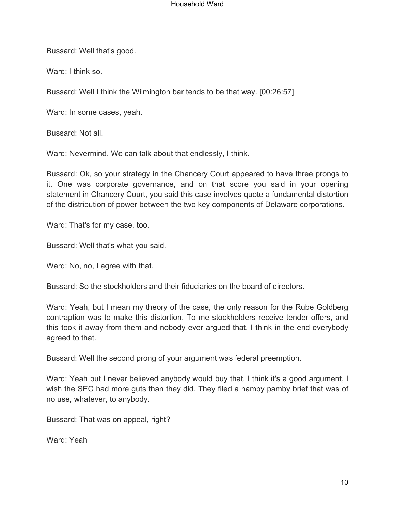Bussard: Well that's good.

Ward: I think so.

Bussard: Well I think the Wilmington bar tends to be that way. [00:26:57]

Ward: In some cases, yeah.

Bussard: Not all.

Ward: Nevermind. We can talk about that endlessly, I think.

Bussard: Ok, so your strategy in the Chancery Court appeared to have three prongs to it. One was corporate governance, and on that score you said in your opening statement in Chancery Court, you said this case involves quote a fundamental distortion of the distribution of power between the two key components of Delaware corporations.

Ward: That's for my case, too.

Bussard: Well that's what you said.

Ward: No, no, I agree with that.

Bussard: So the stockholders and their fiduciaries on the board of directors.

Ward: Yeah, but I mean my theory of the case, the only reason for the Rube Goldberg contraption was to make this distortion. To me stockholders receive tender offers, and this took it away from them and nobody ever argued that. I think in the end everybody agreed to that.

Bussard: Well the second prong of your argument was federal preemption.

Ward: Yeah but I never believed anybody would buy that. I think it's a good argument, I wish the SEC had more guts than they did. They filed a namby pamby brief that was of no use, whatever, to anybody.

Bussard: That was on appeal, right?

Ward: Yeah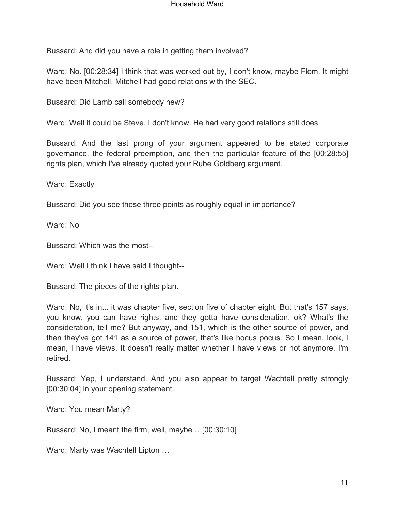Bussard: And did you have a role in getting them involved?

Ward: No. [00:28:34] I think that was worked out by, I don't know, maybe Flom. It might have been Mitchell. Mitchell had good relations with the SEC.

Bussard: Did Lamb call somebody new?

Ward: Well it could be Steve, I don't know. He had very good relations still does.

Bussard: And the last prong of your argument appeared to be stated corporate governance, the federal preemption, and then the particular feature of the [00:28:55] rights plan, which I've already quoted your Rube Goldberg argument.

Ward: Exactly

Bussard: Did you see these three points as roughly equal in importance?

Ward: No

Bussard: Which was the most--

Ward: Well I think I have said I thought--

Bussard: The pieces of the rights plan.

Ward: No, it's in... it was chapter five, section five of chapter eight. But that's 157 says, you know, you can have rights, and they gotta have consideration, ok? What's the consideration, tell me? But anyway, and 151, which is the other source of power, and then they've got 141 as a source of power, that's like hocus pocus. So I mean, look, I mean, I have views. It doesn't really matter whether I have views or not anymore, I'm retired.

Bussard: Yep, I understand. And you also appear to target Wachtell pretty strongly [00:30:04] in your opening statement.

Ward: You mean Marty?

Bussard: No, I meant the firm, well, maybe …[00:30:10]

Ward: Marty was Wachtell Lipton …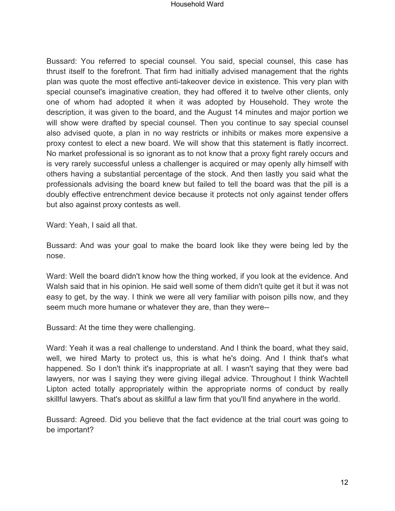Bussard: You referred to special counsel. You said, special counsel, this case has thrust itself to the forefront. That firm had initially advised management that the rights plan was quote the most effective anti-takeover device in existence. This very plan with special counsel's imaginative creation, they had offered it to twelve other clients, only one of whom had adopted it when it was adopted by Household. They wrote the description, it was given to the board, and the August 14 minutes and major portion we will show were drafted by special counsel. Then you continue to say special counsel also advised quote, a plan in no way restricts or inhibits or makes more expensive a proxy contest to elect a new board. We will show that this statement is flatly incorrect. No market professional is so ignorant as to not know that a proxy fight rarely occurs and is very rarely successful unless a challenger is acquired or may openly ally himself with others having a substantial percentage of the stock. And then lastly you said what the professionals advising the board knew but failed to tell the board was that the pill is a doubly effective entrenchment device because it protects not only against tender offers but also against proxy contests as well.

Ward: Yeah, I said all that.

Bussard: And was your goal to make the board look like they were being led by the nose.

Ward: Well the board didn't know how the thing worked, if you look at the evidence. And Walsh said that in his opinion. He said well some of them didn't quite get it but it was not easy to get, by the way. I think we were all very familiar with poison pills now, and they seem much more humane or whatever they are, than they were--

Bussard: At the time they were challenging.

Ward: Yeah it was a real challenge to understand. And I think the board, what they said, well, we hired Marty to protect us, this is what he's doing. And I think that's what happened. So I don't think it's inappropriate at all. I wasn't saying that they were bad lawyers, nor was I saying they were giving illegal advice. Throughout I think Wachtell Lipton acted totally appropriately within the appropriate norms of conduct by really skillful lawyers. That's about as skillful a law firm that you'll find anywhere in the world.

Bussard: Agreed. Did you believe that the fact evidence at the trial court was going to be important?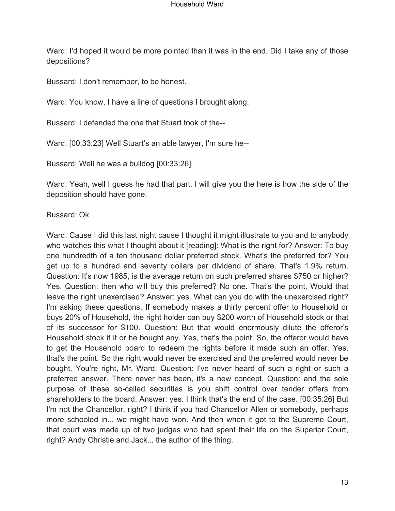Ward: I'd hoped it would be more pointed than it was in the end. Did I take any of those depositions?

Bussard: I don't remember, to be honest.

Ward: You know, I have a line of questions I brought along.

Bussard: I defended the one that Stuart took of the--

Ward: [00:33:23] Well Stuart's an able lawyer, I'm sure he--

Bussard: Well he was a bulldog [00:33:26]

Ward: Yeah, well I guess he had that part. I will give you the here is how the side of the deposition should have gone.

Bussard: Ok

Ward: Cause I did this last night cause I thought it might illustrate to you and to anybody who watches this what I thought about it [reading]: What is the right for? Answer: To buy one hundredth of a ten thousand dollar preferred stock. What's the preferred for? You get up to a hundred and seventy dollars per dividend of share. That's 1.9% return. Question: It's now 1985, is the average return on such preferred shares \$750 or higher? Yes. Question: then who will buy this preferred? No one. That's the point. Would that leave the right unexercised? Answer: yes. What can you do with the unexercised right? I'm asking these questions. If somebody makes a thirty percent offer to Household or buys 20% of Household, the right holder can buy \$200 worth of Household stock or that of its successor for \$100. Question: But that would enormously dilute the offeror's Household stock if it or he bought any. Yes, that's the point. So, the offeror would have to get the Household board to redeem the rights before it made such an offer. Yes, that's the point. So the right would never be exercised and the preferred would never be bought. You're right, Mr. Ward. Question: I've never heard of such a right or such a preferred answer. There never has been, it's a new concept. Question: and the sole purpose of these so-called securities is you shift control over tender offers from shareholders to the board. Answer: yes. I think that's the end of the case. [00:35:26] But I'm not the Chancellor, right? I think if you had Chancellor Allen or somebody, perhaps more schooled in... we might have won. And then when it got to the Supreme Court, that court was made up of two judges who had spent their life on the Superior Court, right? Andy Christie and Jack... the author of the thing.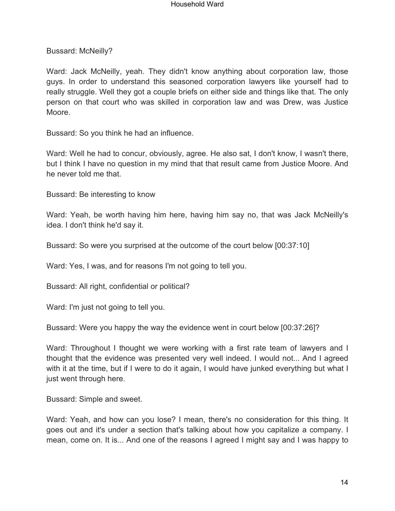Bussard: McNeilly?

Ward: Jack McNeilly, yeah. They didn't know anything about corporation law, those guys. In order to understand this seasoned corporation lawyers like yourself had to really struggle. Well they got a couple briefs on either side and things like that. The only person on that court who was skilled in corporation law and was Drew, was Justice Moore.

Bussard: So you think he had an influence.

Ward: Well he had to concur, obviously, agree. He also sat, I don't know, I wasn't there, but I think I have no question in my mind that that result came from Justice Moore. And he never told me that.

Bussard: Be interesting to know

Ward: Yeah, be worth having him here, having him say no, that was Jack McNeilly's idea. I don't think he'd say it.

Bussard: So were you surprised at the outcome of the court below [00:37:10]

Ward: Yes, I was, and for reasons I'm not going to tell you.

Bussard: All right, confidential or political?

Ward: I'm just not going to tell you.

Bussard: Were you happy the way the evidence went in court below [00:37:26]?

Ward: Throughout I thought we were working with a first rate team of lawyers and I thought that the evidence was presented very well indeed. I would not... And I agreed with it at the time, but if I were to do it again, I would have junked everything but what I just went through here.

Bussard: Simple and sweet.

Ward: Yeah, and how can you lose? I mean, there's no consideration for this thing. It goes out and it's under a section that's talking about how you capitalize a company. I mean, come on. It is... And one of the reasons I agreed I might say and I was happy to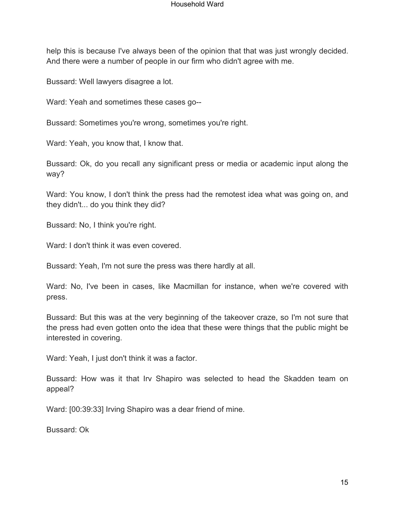help this is because I've always been of the opinion that that was just wrongly decided. And there were a number of people in our firm who didn't agree with me.

Bussard: Well lawyers disagree a lot.

Ward: Yeah and sometimes these cases go--

Bussard: Sometimes you're wrong, sometimes you're right.

Ward: Yeah, you know that, I know that.

Bussard: Ok, do you recall any significant press or media or academic input along the way?

Ward: You know, I don't think the press had the remotest idea what was going on, and they didn't... do you think they did?

Bussard: No, I think you're right.

Ward: I don't think it was even covered.

Bussard: Yeah, I'm not sure the press was there hardly at all.

Ward: No, I've been in cases, like Macmillan for instance, when we're covered with press.

Bussard: But this was at the very beginning of the takeover craze, so I'm not sure that the press had even gotten onto the idea that these were things that the public might be interested in covering.

Ward: Yeah, I just don't think it was a factor.

Bussard: How was it that Irv Shapiro was selected to head the Skadden team on appeal?

Ward: [00:39:33] Irving Shapiro was a dear friend of mine.

Bussard: Ok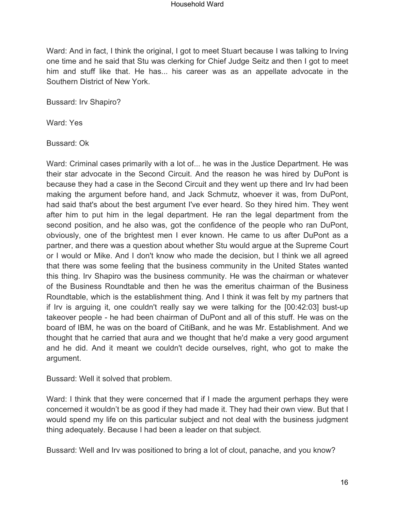Ward: And in fact, I think the original, I got to meet Stuart because I was talking to Irving one time and he said that Stu was clerking for Chief Judge Seitz and then I got to meet him and stuff like that. He has... his career was as an appellate advocate in the Southern District of New York.

Bussard: Irv Shapiro?

Ward: Yes

Bussard: Ok

Ward: Criminal cases primarily with a lot of... he was in the Justice Department. He was their star advocate in the Second Circuit. And the reason he was hired by DuPont is because they had a case in the Second Circuit and they went up there and Irv had been making the argument before hand, and Jack Schmutz, whoever it was, from DuPont, had said that's about the best argument I've ever heard. So they hired him. They went after him to put him in the legal department. He ran the legal department from the second position, and he also was, got the confidence of the people who ran DuPont, obviously, one of the brightest men I ever known. He came to us after DuPont as a partner, and there was a question about whether Stu would argue at the Supreme Court or I would or Mike. And I don't know who made the decision, but I think we all agreed that there was some feeling that the business community in the United States wanted this thing. Irv Shapiro was the business community. He was the chairman or whatever of the Business Roundtable and then he was the emeritus chairman of the Business Roundtable, which is the establishment thing. And I think it was felt by my partners that if Irv is arguing it, one couldn't really say we were talking for the [00:42:03] bust-up takeover people - he had been chairman of DuPont and all of this stuff. He was on the board of IBM, he was on the board of CitiBank, and he was Mr. Establishment. And we thought that he carried that aura and we thought that he'd make a very good argument and he did. And it meant we couldn't decide ourselves, right, who got to make the argument.

Bussard: Well it solved that problem.

Ward: I think that they were concerned that if I made the argument perhaps they were concerned it wouldn't be as good if they had made it. They had their own view. But that I would spend my life on this particular subject and not deal with the business judgment thing adequately. Because I had been a leader on that subject.

Bussard: Well and Irv was positioned to bring a lot of clout, panache, and you know?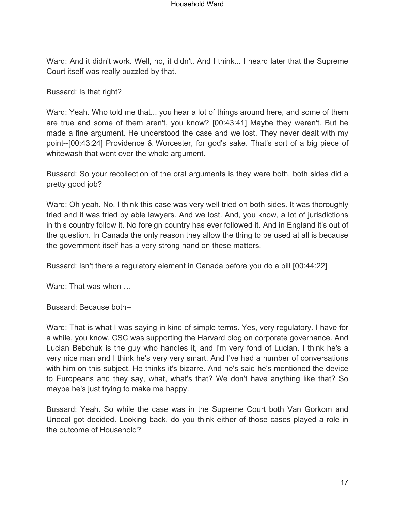Ward: And it didn't work. Well, no, it didn't. And I think... I heard later that the Supreme Court itself was really puzzled by that.

Bussard: Is that right?

Ward: Yeah. Who told me that... you hear a lot of things around here, and some of them are true and some of them aren't, you know? [00:43:41] Maybe they weren't. But he made a fine argument. He understood the case and we lost. They never dealt with my point--[00:43:24] Providence & Worcester, for god's sake. That's sort of a big piece of whitewash that went over the whole argument.

Bussard: So your recollection of the oral arguments is they were both, both sides did a pretty good job?

Ward: Oh yeah. No, I think this case was very well tried on both sides. It was thoroughly tried and it was tried by able lawyers. And we lost. And, you know, a lot of jurisdictions in this country follow it. No foreign country has ever followed it. And in England it's out of the question. In Canada the only reason they allow the thing to be used at all is because the government itself has a very strong hand on these matters.

Bussard: Isn't there a regulatory element in Canada before you do a pill [00:44:22]

Ward: That was when …

Bussard: Because both--

Ward: That is what I was saying in kind of simple terms. Yes, very regulatory. I have for a while, you know, CSC was supporting the Harvard blog on corporate governance. And Lucian Bebchuk is the guy who handles it, and I'm very fond of Lucian. I think he's a very nice man and I think he's very very smart. And I've had a number of conversations with him on this subject. He thinks it's bizarre. And he's said he's mentioned the device to Europeans and they say, what, what's that? We don't have anything like that? So maybe he's just trying to make me happy.

Bussard: Yeah. So while the case was in the Supreme Court both Van Gorkom and Unocal got decided. Looking back, do you think either of those cases played a role in the outcome of Household?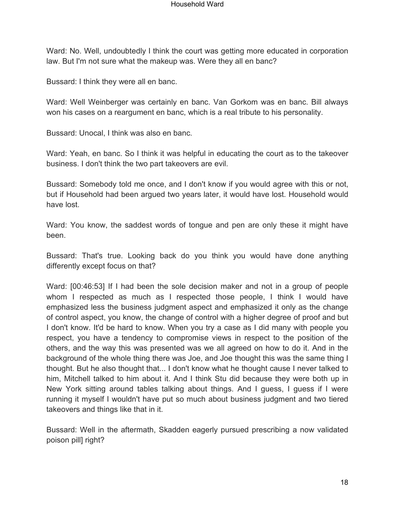Ward: No. Well, undoubtedly I think the court was getting more educated in corporation law. But I'm not sure what the makeup was. Were they all en banc?

Bussard: I think they were all en banc.

Ward: Well Weinberger was certainly en banc. Van Gorkom was en banc. Bill always won his cases on a reargument en banc, which is a real tribute to his personality.

Bussard: Unocal, I think was also en banc.

Ward: Yeah, en banc. So I think it was helpful in educating the court as to the takeover business. I don't think the two part takeovers are evil.

Bussard: Somebody told me once, and I don't know if you would agree with this or not, but if Household had been argued two years later, it would have lost. Household would have lost.

Ward: You know, the saddest words of tongue and pen are only these it might have been.

Bussard: That's true. Looking back do you think you would have done anything differently except focus on that?

Ward: [00:46:53] If I had been the sole decision maker and not in a group of people whom I respected as much as I respected those people, I think I would have emphasized less the business judgment aspect and emphasized it only as the change of control aspect, you know, the change of control with a higher degree of proof and but I don't know. It'd be hard to know. When you try a case as I did many with people you respect, you have a tendency to compromise views in respect to the position of the others, and the way this was presented was we all agreed on how to do it. And in the background of the whole thing there was Joe, and Joe thought this was the same thing I thought. But he also thought that... I don't know what he thought cause I never talked to him, Mitchell talked to him about it. And I think Stu did because they were both up in New York sitting around tables talking about things. And I guess, I guess if I were running it myself I wouldn't have put so much about business judgment and two tiered takeovers and things like that in it.

Bussard: Well in the aftermath, Skadden eagerly pursued prescribing a now validated poison pill] right?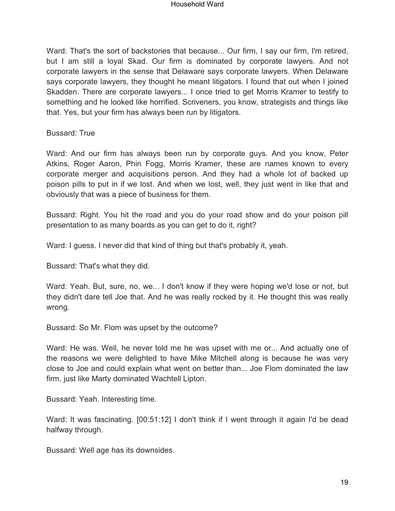Ward: That's the sort of backstories that because... Our firm, I say our firm, I'm retired, but I am still a loyal Skad. Our firm is dominated by corporate lawyers. And not corporate lawyers in the sense that Delaware says corporate lawyers. When Delaware says corporate lawyers, they thought he meant litigators. I found that out when I joined Skadden. There are corporate lawyers... I once tried to get Morris Kramer to testify to something and he looked like horrified. Scriveners, you know, strategists and things like that. Yes, but your firm has always been run by litigators.

Bussard: True

Ward: And our firm has always been run by corporate guys. And you know, Peter Atkins, Roger Aaron, Phin Fogg, Morris Kramer, these are names known to every corporate merger and acquisitions person. And they had a whole lot of backed up poison pills to put in if we lost. And when we lost, well, they just went in like that and obviously that was a piece of business for them.

Bussard: Right. You hit the road and you do your road show and do your poison pill presentation to as many boards as you can get to do it, right?

Ward: I guess. I never did that kind of thing but that's probably it, yeah.

Bussard: That's what they did.

Ward: Yeah. But, sure, no, we... I don't know if they were hoping we'd lose or not, but they didn't dare tell Joe that. And he was really rocked by it. He thought this was really wrong.

Bussard: So Mr. Flom was upset by the outcome?

Ward: He was. Well, he never told me he was upset with me or... And actually one of the reasons we were delighted to have Mike Mitchell along is because he was very close to Joe and could explain what went on better than... Joe Flom dominated the law firm, just like Marty dominated Wachtell Lipton.

Bussard: Yeah. Interesting time.

Ward: It was fascinating. [00:51:12] I don't think if I went through it again I'd be dead halfway through.

Bussard: Well age has its downsides.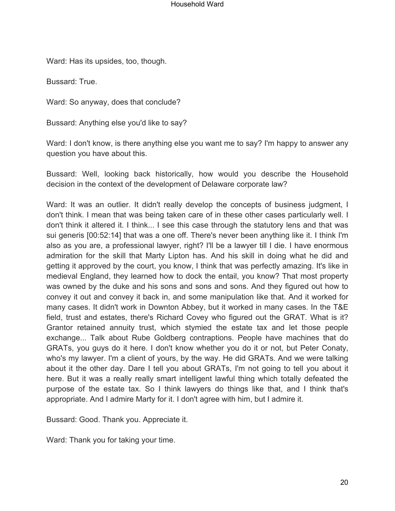Ward: Has its upsides, too, though.

Bussard: True.

Ward: So anyway, does that conclude?

Bussard: Anything else you'd like to say?

Ward: I don't know, is there anything else you want me to say? I'm happy to answer any question you have about this.

Bussard: Well, looking back historically, how would you describe the Household decision in the context of the development of Delaware corporate law?

Ward: It was an outlier. It didn't really develop the concepts of business judgment, I don't think. I mean that was being taken care of in these other cases particularly well. I don't think it altered it. I think... I see this case through the statutory lens and that was sui generis [00:52:14] that was a one off. There's never been anything like it. I think I'm also as you are, a professional lawyer, right? I'll be a lawyer till I die. I have enormous admiration for the skill that Marty Lipton has. And his skill in doing what he did and getting it approved by the court, you know, I think that was perfectly amazing. It's like in medieval England, they learned how to dock the entail, you know? That most property was owned by the duke and his sons and sons and sons. And they figured out how to convey it out and convey it back in, and some manipulation like that. And it worked for many cases. It didn't work in Downton Abbey, but it worked in many cases. In the T&E field, trust and estates, there's Richard Covey who figured out the GRAT. What is it? Grantor retained annuity trust, which stymied the estate tax and let those people exchange... Talk about Rube Goldberg contraptions. People have machines that do GRATs, you guys do it here. I don't know whether you do it or not, but Peter Conaty, who's my lawyer. I'm a client of yours, by the way. He did GRATs. And we were talking about it the other day. Dare I tell you about GRATs, I'm not going to tell you about it here. But it was a really really smart intelligent lawful thing which totally defeated the purpose of the estate tax. So I think lawyers do things like that, and I think that's appropriate. And I admire Marty for it. I don't agree with him, but I admire it.

Bussard: Good. Thank you. Appreciate it.

Ward: Thank you for taking your time.